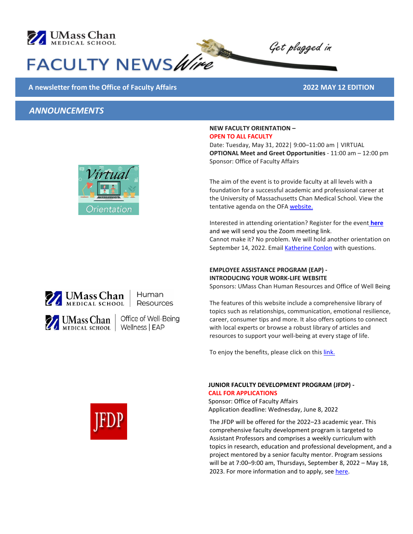

# FACULTY NEWS Wire

#### **A newsletter from the Office of Faculty Affairs 2022 MAY 12 EDITION**

## *ANNOUNCEMENTS*



Human Resources

Office of Well-Being

#### **NEW FACULTY ORIENTATION – OPEN TO ALL FACULTY**

Date: Tuesday, May 31, 2022| 9:00–11:00 am | VIRTUAL **OPTIONAL Meet and Greet Opportunities** - 11:00 am – 12:00 pm Sponsor: Office of Faculty Affairs

Get plugged in

The aim of the event is to provide faculty at all levels with a foundation for a successful academic and professional career at the University of Massachusetts Chan Medical School. View the tentative agenda on the OFA [website.](https://www.umassmed.edu/ofa/development/newfaculty/newfacultyorientation/)

Interested in attending orientation? Register for the event **[here](https://umassmed.co1.qualtrics.com/jfe/form/SV_0v662YaNumZ2cZM)** and we will send you the Zoom meeting link. Cannot make it? No problem. We will hold another orientation on September 14, 2022. Emai[l Katherine Conlon](mailto:katherine.conlon@umassmed.edu) with questions.

#### **EMPLOYEE ASSISTANCE PROGRAM (EAP) - INTRODUCING YOUR WORK-LIFE WEBSITE**

Sponsors: UMass Chan Human Resources and Office of Well Being

The features of this website include a comprehensive library of topics such as relationships, communication, emotional resilience, career, consumer tips and more. It also offers options to connect with local experts or browse a robust library of articles and resources to support your well-being at every stage of life.

To enjoy the benefits, please click on this link.

#### **JUNIOR FACULTY DEVELOPMENT PROGRAM (JFDP) - CALL FOR APPLICATIONS**

Sponsor: Office of Faculty Affairs Application deadline: Wednesday, June 8, 2022

The JFDP will be offered for the 2022–23 academic year. This comprehensive faculty development program is targeted to Assistant Professors and comprises a weekly curriculum with topics in research, education and professional development, and a project mentored by a senior faculty mentor. Program sessions will be at 7:00–9:00 am, Thursdays, September 8, 2022 – May 18, 2023. For more information and to apply, se[e here.](https://www.umassmed.edu/ofa/development/JFDP/)



MEDICAL SCHOOL | Wellness | EAP



Mass Chan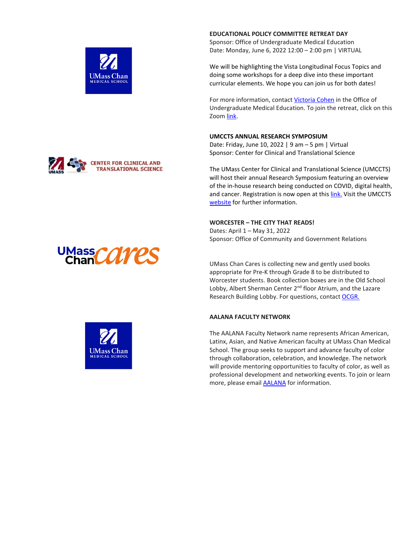

Sponsor: Office of Undergraduate Medical Education Date: Monday, June 6, 2022 12:00 – 2:00 pm | VIRTUAL

We will be highlighting the Vista Longitudinal Focus Topics and doing some workshops for a deep dive into these important curricular elements. We hope you can join us for both dates!

For more information, contact [Victoria Cohen](mailto:victoria.cohen@umassmed.edu) in the Office of Undergraduate Medical Education. To join the retreat, click on this Zoom [link.](https://umassmed.zoom.us/j/93904649129?pwd=bTZDd1M5SzJHQmJSMmpDZ1pMWWxaZz09)

#### **UMCCTS ANNUAL RESEARCH SYMPOSIUM**

Date: Friday, June 10, 2022 | 9 am – 5 pm | Virtual Sponsor: Center for Clinical and Translational Science

The UMass Center for Clinical and Translational Science (UMCCTS) will host their annual Research Symposium featuring an overview of the in-house research being conducted on COVID, digital health, and cancer. Registration is now open at thi[s link.](https://umassmed.zoom.us/webinar/register/WN_hM8OIhGRR2iRfuZwNvhJMw) Visit the UMCCTS [website](https://www.umassmed.edu/ccts) for further information.

#### **WORCESTER – THE CITY THAT READS!**

Dates: April 1 – May 31, 2022 Sponsor: Office of Community and Government Relations

UMass Chan Cares is collecting new and gently used books appropriate for Pre-K through Grade 8 to be distributed to Worcester students. Book collection boxes are in the Old School Lobby, Albert Sherman Center 2<sup>nd</sup> floor Atrium, and the Lazare Research Building Lobby. For questions, contact [OCGR.](mailto:ocgr@umassmed.edu)

#### **AALANA FACULTY NETWORK**

The AALANA Faculty Network name represents African American, Latinx, Asian, and Native American faculty at UMass Chan Medical School. The group seeks to support and advance faculty of color through collaboration, celebration, and knowledge. The network will provide mentoring opportunities to faculty of color, as well as professional development and networking events. To join or learn more, please email [AALANA](mailto:aalana@umassmed.edu) for information.







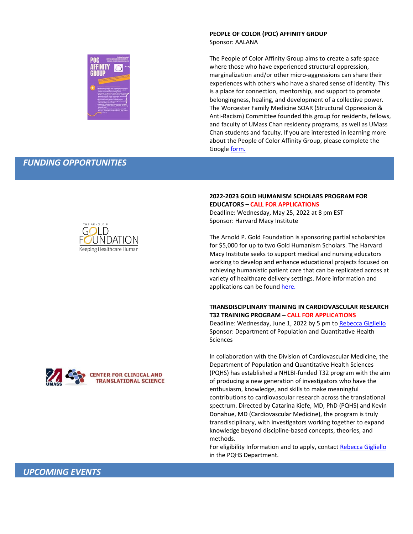## **PEOPLE OF COLOR (POC) AFFINITY GROUP**

Sponsor: AALANA

The People of Color Affinity Group aims to create a safe space where those who have experienced structural oppression, marginalization and/or other micro-aggressions can share their experiences with others who have a shared sense of identity. This is a place for connection, mentorship, and support to promote belongingness, healing, and development of a collective power. The Worcester Family Medicine SOAR (Structural Oppression & Anti-Racism) Committee founded this group for residents, fellows, and faculty of UMass Chan residency programs, as well as UMass Chan students and faculty. If you are interested in learning more about the People of Color Affinity Group, please complete the Google [form.](https://docs.google.com/forms/d/1Ogiuyztr3A7zkIkmsuPaqZJ7ymgT__-TZsINeTtg1iY/viewform?edit_requested=true)

#### *FUNDING OPPORTUNITIES*



#### **2022-2023 GOLD HUMANISM SCHOLARS PROGRAM FOR EDUCATORS – CALL FOR APPLICATIONS**

Deadline: Wednesday, May 25, 2022 at 8 pm EST Sponsor: Harvard Macy Institute

The Arnold P. Gold Foundation is sponsoring partial scholarships for \$5,000 for up to two Gold Humanism Scholars. The Harvard Macy Institute seeks to support medical and nursing educators working to develop and enhance educational projects focused on achieving humanistic patient care that can be replicated across at variety of healthcare delivery settings. More information and applications can be foun[d here.](https://www.gold-foundation.org/programs/gold-humanism-scholars-harvard-macy/)

#### **TRANSDISCIPLINARY TRAINING IN CARDIOVASCULAR RESEARCH T32 TRAINING PROGRAM – CALL FOR APPLICATIONS**

Deadline: Wednesday, June 1, 2022 by 5 pm t[o Rebecca Gigliello](mailto:rebecca.gigliello@umassmed.edu) Sponsor: Department of Population and Quantitative Health **Sciences** 

In collaboration with the Division of Cardiovascular Medicine, the Department of Population and Quantitative Health Sciences (PQHS) has established a NHLBI-funded T32 program with the aim of producing a new generation of investigators who have the enthusiasm, knowledge, and skills to make meaningful contributions to cardiovascular research across the translational spectrum. Directed by Catarina Kiefe, MD, PhD (PQHS) and Kevin Donahue, MD (Cardiovascular Medicine), the program is truly transdisciplinary, with investigators working together to expand knowledge beyond discipline-based concepts, theories, and methods.

For eligibility Information and to apply, contact [Rebecca Gigliello](mailto:rebecca.gigliello@umassmed.edu) in the PQHS Department.

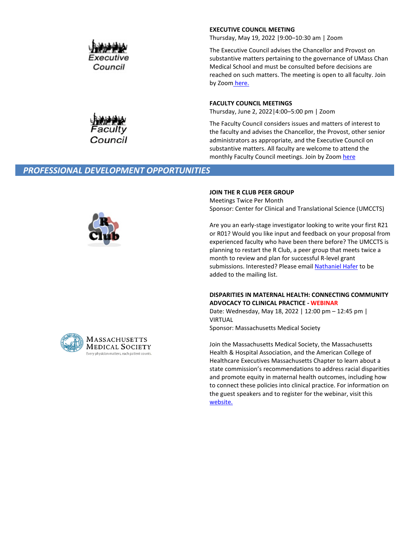

#### **EXECUTIVE COUNCIL MEETING**

Thursday, May 19, 2022 |9:00–10:30 am | Zoom

The Executive Council advises the Chancellor and Provost on substantive matters pertaining to the governance of UMass Chan Medical School and must be consulted before decisions are reached on such matters. The meeting is open to all faculty. Join by Zoom [here.](https://umassmed.zoom.us/j/867100548)

#### **FACULTY COUNCIL MEETINGS**

Thursday, June 2, 2022|4:00–5:00 pm | Zoom

The Faculty Council considers issues and matters of interest to the faculty and advises the Chancellor, the Provost, other senior administrators as appropriate, and the Executive Council on substantive matters. All faculty are welcome to attend the monthly Faculty Council meetings. Join by Zoo[m here](https://umassmed.zoom.us/j/510427174)

#### *PROFESSIONAL DEVELOPMENT OPPORTUNITIES*

Council



#### **JOIN THE R CLUB PEER GROUP**

Meetings Twice Per Month Sponsor: Center for Clinical and Translational Science (UMCCTS)

Are you an early-stage investigator looking to write your first R21 or R01? Would you like input and feedback on your proposal from experienced faculty who have been there before? The UMCCTS is planning to restart the R Club, a peer group that meets twice a month to review and plan for successful R-level grant submissions. Interested? Please email [Nathaniel](mailto:nathaniel.hafer@umassmed.edu) Hafer to be added to the mailing list.

#### **DISPARITIES IN MATERNAL HEALTH: CONNECTING COMMUNITY ADVOCACY TO CLINICAL PRACTICE - WEBINAR**

Date: Wednesday, May 18, 2022 | 12:00 pm – 12:45 pm | VIRTUAL

Sponsor: Massachusetts Medical Society

Join the Massachusetts Medical Society, the Massachusetts Health & Hospital Association, and the American College of Healthcare Executives Massachusetts Chapter to learn about a state commission's recommendations to address racial disparities and promote equity in maternal health outcomes, including how to connect these policies into clinical practice. For information on the guest speakers and to register for the webinar, visit this [website.](https://www.massmed.org/DHEI-maternal-disparities-webinar/)

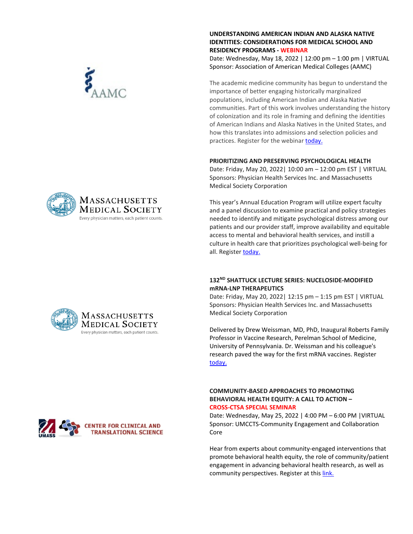#### **UNDERSTANDING AMERICAN INDIAN AND ALASKA NATIVE IDENTITIES: CONSIDERATIONS FOR MEDICAL SCHOOL AND RESIDENCY PROGRAMS - WEBINAR**

Date: Wednesday, May 18, 2022 | 12:00 pm – 1:00 pm | VIRTUAL Sponsor: Association of American Medical Colleges (AAMC)

The academic medicine community has begun to understand the importance of better engaging historically marginalized populations, including American Indian and Alaska Native communities. Part of this work involves understanding the history of colonization and its role in framing and defining the identities of American Indians and Alaska Natives in the United States, and how this translates into admissions and selection policies and practices. Register for the webinar [today.](https://aamc.elevate.commpartners.com/p/220518_IDEAS?utm_source=sfmc&utm_medium=email&utm_campaign=ideas&utm_content=webinar)

#### **PRIORITIZING AND PRESERVING PSYCHOLOGICAL HEALTH**

Date: Friday, May 20, 2022| 10:00 am – 12:00 pm EST | VIRTUAL Sponsors: Physician Health Services Inc. and Massachusetts Medical Society Corporation

This year's Annual Education Program will utilize expert faculty and a panel discussion to examine practical and policy strategies needed to identify and mitigate psychological distress among our patients and our provider staff, improve availability and equitable access to mental and behavioral health services, and instill a culture in health care that prioritizes psychological well-being for all. Register [today.](https://www.massmed.org/Continuing-Education-and-Events/Annual-Meeting-Educational-Programs/Annual-Meeting-Educational-Programs/)

#### **132ND SHATTUCK LECTURE SERIES: NUCELOSIDE-MODIFIED mRNA-LNP THERAPEUTICS**

Date: Friday, May 20, 2022| 12:15 pm – 1:15 pm EST | VIRTUAL Sponsors: Physician Health Services Inc. and Massachusetts Medical Society Corporation

Delivered by Drew Weissman, MD, PhD, Inaugural Roberts Family Professor in Vaccine Research, Perelman School of Medicine, University of Pennsylvania. Dr. Weissman and his colleague's research paved the way for the first mRNA vaccines. Register [today.](https://www.massmed.org/Continuing-Education-and-Events/Annual-Meeting-Educational-Programs/Annual-Meeting-Educational-Programs/)

#### **COMMUNITY-BASED APPROACHES TO PROMOTING BEHAVIORAL HEALTH EQUITY: A CALL TO ACTION – CROSS-CTSA SPECIAL SEMINAR**

Date: Wednesday, May 25, 2022 | 4:00 PM – 6:00 PM |VIRTUAL Sponsor: UMCCTS-Community Engagement and Collaboration Core

Hear from experts about community-engaged interventions that promote behavioral health equity, the role of community/patient engagement in advancing behavioral health research, as well as community perspectives. Register at this [link.](https://umassmed.zoom.us/webinar/register/WN_Tens2yHCToSGVu1Mm_CEcg)







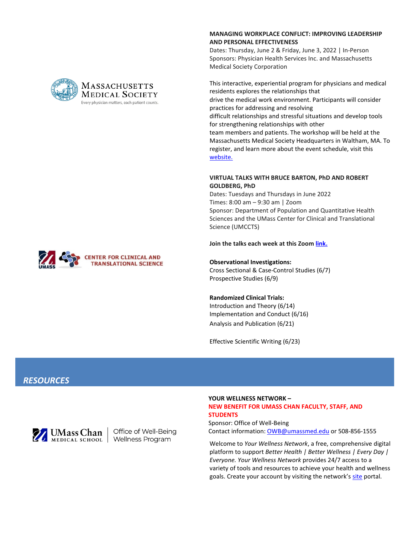#### **MANAGING WORKPLACE CONFLICT: IMPROVING LEADERSHIP AND PERSONAL EFFECTIVENESS**

Dates: Thursday, June 2 & Friday, June 3, 2022 | In-Person Sponsors: Physician Health Services Inc. and Massachusetts Medical Society Corporation

This interactive, experiential program for physicians and medical residents explores the relationships that drive the medical work environment. Participants will consider practices for addressing and resolving difficult relationships and stressful situations and develop tools for strengthening relationships with other team members and patients. The workshop will be held at the Massachusetts Medical Society Headquarters in Waltham, MA. To register, and learn more about the event schedule, visit this [website.](https://portal.massmed.org/eweb/DynamicPage.aspx?webcode=EventInfo&Reg_evt_key=87a86bbb-cdaa-4111-aa25-45b399353dde&RegPath=EventRegFees&FreeEvent=0&Event=Managing%20Workplace%20Conflict:%20Improving%20Leadership%20&%20Personal%20Effectiveness&FundraisingEvent=0&evt_guest_limit=0)

#### **VIRTUAL TALKS WITH BRUCE BARTON, PhD AND ROBERT GOLDBERG, PhD**

Dates: Tuesdays and Thursdays in June 2022 Times: 8:00 am – 9:30 am | Zoom Sponsor: Department of Population and Quantitative Health Sciences and the UMass Center for Clinical and Translational Science (UMCCTS)

**Join the talks each week at this Zoom [link.](https://umassmed.zoom.us/j/99382043396?pwd=dUF4NkxJMXE1RUl3dWpHU1duZ0ltZz09)** 

#### **Observational Investigations:**

Cross Sectional & Case-Control Studies (6/7) Prospective Studies (6/9)

#### **Randomized Clinical Trials:**

Introduction and Theory (6/14) Implementation and Conduct (6/16) Analysis and Publication (6/21)

Effective Scientific Writing (6/23)

### *RESOURCES*



Office of Well-Being Wellness Program

#### **YOUR WELLNESS NETWORK – NEW BENEFIT FOR UMASS CHAN FACULTY, STAFF, AND STUDENTS**

Sponsor: Office of Well-Being Contact information: [OWB@umassmed.edu](mailto:OWB@umassmed.edu) or 508-856-1555

Welcome to *Your Wellness Network*, a free, comprehensive digital platform to support *Better Health | Better Wellness | Every Day | Everyone. Your Wellness Network* provides 24/7 access to a variety of tools and resources to achieve your health and wellness goals. Create your account by visiting the network'[s site](https://www.ummswellness.com/Landing.aspx) portal.



#### **MASSACHUSETTS MEDICAL SOCIETY** Every physician matters, each patient counts.